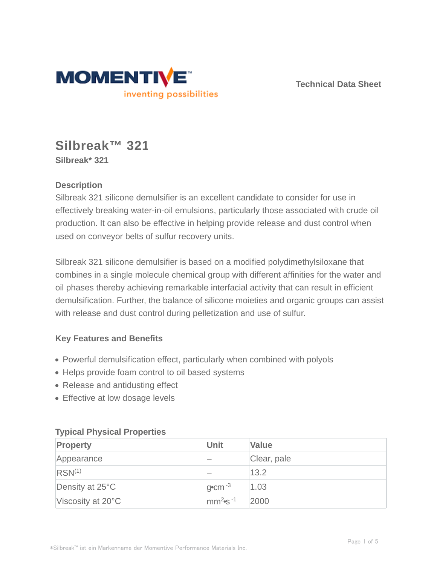

**Technical Data Sheet**

# **Silbreak™ 321 Silbreak\* 321**

# **Description**

Silbreak 321 silicone demulsifier is an excellent candidate to consider for use in effectively breaking water-in-oil emulsions, particularly those associated with crude oil production. It can also be effective in helping provide release and dust control when used on conveyor belts of sulfur recovery units.

Silbreak 321 silicone demulsifier is based on a modified polydimethylsiloxane that combines in a single molecule chemical group with different affinities for the water and oil phases thereby achieving remarkable interfacial activity that can result in efficient demulsification. Further, the balance of silicone moieties and organic groups can assist with release and dust control during pelletization and use of sulfur.

# **Key Features and Benefits**

- Powerful demulsification effect, particularly when combined with polyols
- Helps provide foam control to oil based systems
- Release and antidusting effect
- Effective at low dosage levels

| <b>Property</b>    | <b>Unit</b>                       | <b>Value</b> |
|--------------------|-----------------------------------|--------------|
| Appearance         |                                   | Clear, pale  |
| RSN <sup>(1)</sup> |                                   | 13.2         |
| Density at 25°C    | $q$ <sup>o</sup> cm <sup>-3</sup> | 1.03         |
| Viscosity at 20°C  | $\text{mm}^2$ s <sup>-1</sup>     | 2000         |

### **Typical Physical Properties**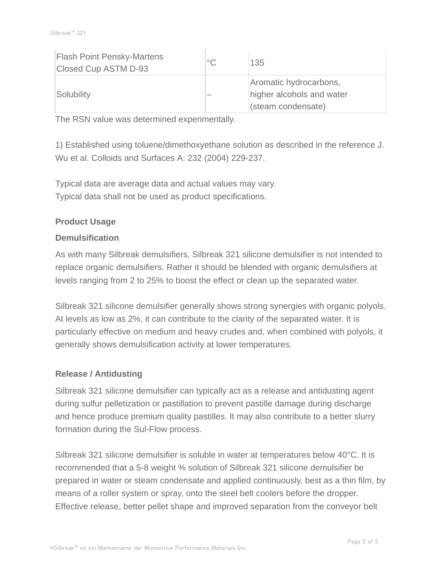| <b>Flash Point Pensky-Martens</b><br>Closed Cup ASTM D-93 | $^{\circ}C$ | 135                                                                       |
|-----------------------------------------------------------|-------------|---------------------------------------------------------------------------|
| Solubility                                                |             | Aromatic hydrocarbons,<br>higher alcohols and water<br>(steam condensate) |

The RSN value was determined experimentally.

1) Established using toluene/dimethoxyethane solution as described in the reference J. Wu et al. Colloids and Surfaces A: 232 (2004) 229-237.

Typical data are average data and actual values may vary. Typical data shall not be used as product specifications.

## **Product Usage**

## **Demulsification**

As with many Silbreak demulsifiers, Silbreak 321 silicone demulsifier is not intended to replace organic demulsifiers. Rather it should be blended with organic demulsifiers at levels ranging from 2 to 25% to boost the effect or clean up the separated water.

Silbreak 321 silicone demulsifier generally shows strong synergies with organic polyols. At levels as low as 2%, it can contribute to the clarity of the separated water. It is particularly effective on medium and heavy crudes and, when combined with polyols, it generally shows demulsification activity at lower temperatures.

### **Release / Antidusting**

Silbreak 321 silicone demulsifier can typically act as a release and antidusting agent during sulfur pelletization or pastillation to prevent pastille damage during discharge and hence produce premium quality pastilles. It may also contribute to a better slurry formation during the Sul-Flow process.

Silbreak 321 silicone demulsifier is soluble in water at temperatures below 40°C. It is recommended that a 5-8 weight % solution of Silbreak 321 silicone demulsifier be prepared in water or steam condensate and applied continuously, best as a thin film, by means of a roller system or spray, onto the steel belt coolers before the dropper. Effective release, better pellet shape and improved separation from the conveyor belt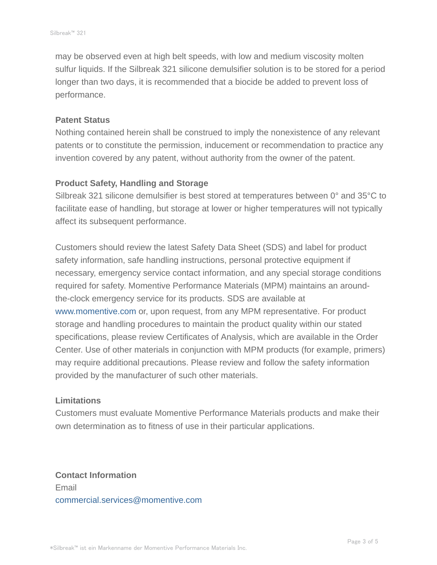may be observed even at high belt speeds, with low and medium viscosity molten sulfur liquids. If the Silbreak 321 silicone demulsifier solution is to be stored for a period longer than two days, it is recommended that a biocide be added to prevent loss of performance.

#### **Patent Status**

Nothing contained herein shall be construed to imply the nonexistence of any relevant patents or to constitute the permission, inducement or recommendation to practice any invention covered by any patent, without authority from the owner of the patent.

#### **Product Safety, Handling and Storage**

Silbreak 321 silicone demulsifier is best stored at temperatures between 0° and 35°C to facilitate ease of handling, but storage at lower or higher temperatures will not typically affect its subsequent performance.

Customers should review the latest Safety Data Sheet (SDS) and label for product safety information, safe handling instructions, personal protective equipment if necessary, emergency service contact information, and any special storage conditions required for safety. Momentive Performance Materials (MPM) maintains an aroundthe-clock emergency service for its products. SDS are available at www.momentive.com or, upon request, from any MPM representative. For product storage and handling procedures to maintain the product quality within our stated specifications, please review Certificates of Analysis, which are available in the Order Center. Use of other materials in conjunction with MPM products (for example, primers) may require additional precautions. Please review and follow the safety information provided by the manufacturer of such other materials.

#### **Limitations**

Customers must evaluate Momentive Performance Materials products and make their own determination as to fitness of use in their particular applications.

**Contact Information** Email commercial.services@momentive.com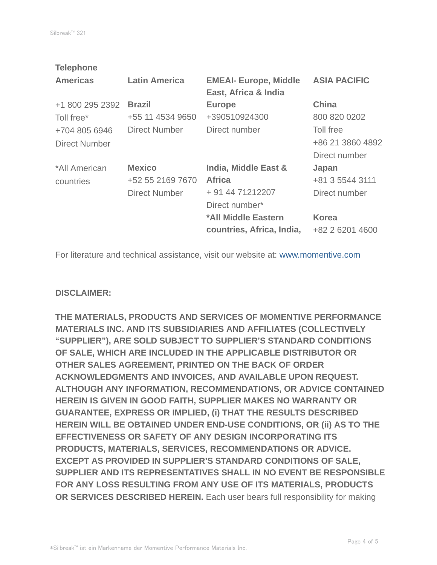| <b>Latin America</b> | <b>EMEAI- Europe, Middle</b><br>East, Africa & India | <b>ASIA PACIFIC</b> |
|----------------------|------------------------------------------------------|---------------------|
| <b>Brazil</b>        | <b>Europe</b>                                        | <b>China</b>        |
| +55 11 4534 9650     | +390510924300                                        | 800 820 0202        |
| <b>Direct Number</b> | Direct number                                        | Toll free           |
|                      |                                                      | +86 21 3860 4892    |
|                      |                                                      | Direct number       |
| <b>Mexico</b>        | India, Middle East &                                 | Japan               |
| +52 55 2169 7670     | <b>Africa</b>                                        | +81 3 5544 3111     |
| Direct Number        | + 91 44 71212207                                     | Direct number       |
|                      | Direct number*                                       |                     |
|                      | *All Middle Eastern                                  | <b>Korea</b>        |
|                      | countries, Africa, India,                            | +82 2 6201 4600     |
|                      |                                                      |                     |

For literature and technical assistance, visit our website at: www.momentive.com

### **DISCLAIMER:**

**THE MATERIALS, PRODUCTS AND SERVICES OF MOMENTIVE PERFORMANCE MATERIALS INC. AND ITS SUBSIDIARIES AND AFFILIATES (COLLECTIVELY "SUPPLIER"), ARE SOLD SUBJECT TO SUPPLIER'S STANDARD CONDITIONS OF SALE, WHICH ARE INCLUDED IN THE APPLICABLE DISTRIBUTOR OR OTHER SALES AGREEMENT, PRINTED ON THE BACK OF ORDER ACKNOWLEDGMENTS AND INVOICES, AND AVAILABLE UPON REQUEST. ALTHOUGH ANY INFORMATION, RECOMMENDATIONS, OR ADVICE CONTAINED HEREIN IS GIVEN IN GOOD FAITH, SUPPLIER MAKES NO WARRANTY OR GUARANTEE, EXPRESS OR IMPLIED, (i) THAT THE RESULTS DESCRIBED HEREIN WILL BE OBTAINED UNDER END-USE CONDITIONS, OR (ii) AS TO THE EFFECTIVENESS OR SAFETY OF ANY DESIGN INCORPORATING ITS PRODUCTS, MATERIALS, SERVICES, RECOMMENDATIONS OR ADVICE. EXCEPT AS PROVIDED IN SUPPLIER'S STANDARD CONDITIONS OF SALE, SUPPLIER AND ITS REPRESENTATIVES SHALL IN NO EVENT BE RESPONSIBLE FOR ANY LOSS RESULTING FROM ANY USE OF ITS MATERIALS, PRODUCTS OR SERVICES DESCRIBED HEREIN.** Each user bears full responsibility for making